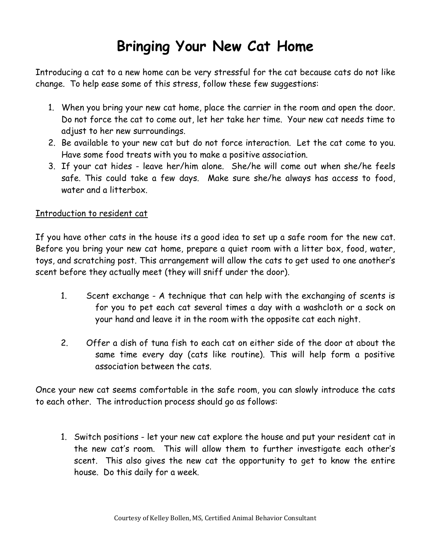## **Bringing Your New Cat Home**

Introducing a cat to a new home can be very stressful for the cat because cats do not like change. To help ease some of this stress, follow these few suggestions:

- 1. When you bring your new cat home, place the carrier in the room and open the door. Do not force the cat to come out, let her take her time. Your new cat needs time to adjust to her new surroundings.
- 2. Be available to your new cat but do not force interaction. Let the cat come to you. Have some food treats with you to make a positive association.
- 3. If your cat hides leave her/him alone. She/he will come out when she/he feels safe. This could take a few days. Make sure she/he always has access to food, water and a litterbox.

## Introduction to resident cat

If you have other cats in the house its a good idea to set up a safe room for the new cat. Before you bring your new cat home, prepare a quiet room with a litter box, food, water, toys, and scratching post. This arrangement will allow the cats to get used to one another's scent before they actually meet (they will sniff under the door).

- 1. Scent exchange A technique that can help with the exchanging of scents is for you to pet each cat several times a day with a washcloth or a sock on your hand and leave it in the room with the opposite cat each night.
- 2. Offer a dish of tuna fish to each cat on either side of the door at about the same time every day (cats like routine). This will help form a positive association between the cats.

Once your new cat seems comfortable in the safe room, you can slowly introduce the cats to each other. The introduction process should go as follows:

1. Switch positions - let your new cat explore the house and put your resident cat in the new cat's room. This will allow them to further investigate each other's scent. This also gives the new cat the opportunity to get to know the entire house. Do this daily for a week.